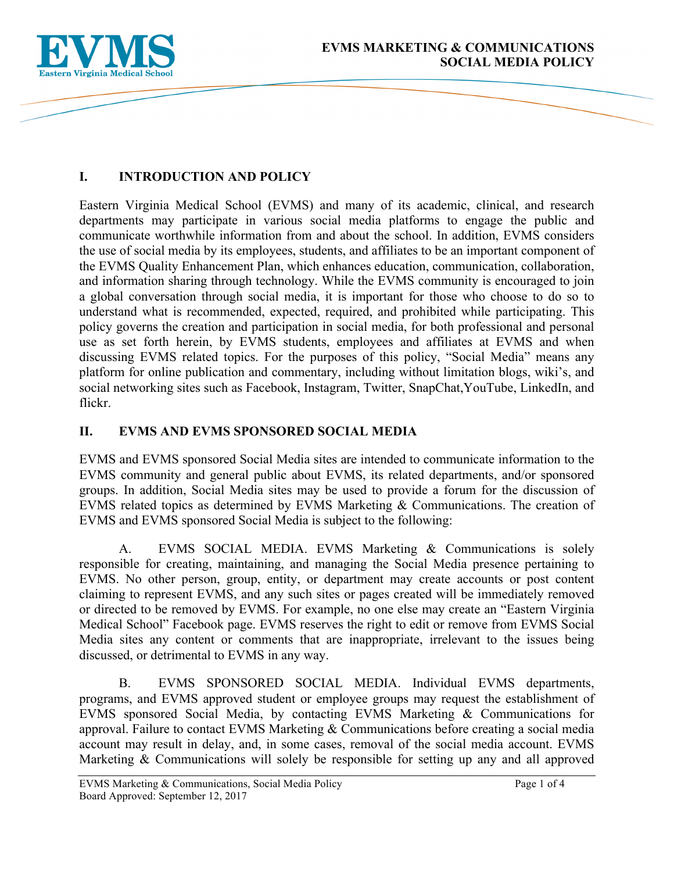

# **I. INTRODUCTION AND POLICY**

Eastern Virginia Medical School (EVMS) and many of its academic, clinical, and research departments may participate in various social media platforms to engage the public and communicate worthwhile information from and about the school. In addition, EVMS considers the use of social media by its employees, students, and affiliates to be an important component of the EVMS Quality Enhancement Plan, which enhances education, communication, collaboration, and information sharing through technology. While the EVMS community is encouraged to join a global conversation through social media, it is important for those who choose to do so to understand what is recommended, expected, required, and prohibited while participating. This policy governs the creation and participation in social media, for both professional and personal use as set forth herein, by EVMS students, employees and affiliates at EVMS and when discussing EVMS related topics. For the purposes of this policy, "Social Media" means any platform for online publication and commentary, including without limitation blogs, wiki's, and social networking sites such as Facebook, Instagram, Twitter, SnapChat,YouTube, LinkedIn, and flickr.

### **II. EVMS AND EVMS SPONSORED SOCIAL MEDIA**

EVMS and EVMS sponsored Social Media sites are intended to communicate information to the EVMS community and general public about EVMS, its related departments, and/or sponsored groups. In addition, Social Media sites may be used to provide a forum for the discussion of EVMS related topics as determined by EVMS Marketing & Communications. The creation of EVMS and EVMS sponsored Social Media is subject to the following:

A. EVMS SOCIAL MEDIA. EVMS Marketing & Communications is solely responsible for creating, maintaining, and managing the Social Media presence pertaining to EVMS. No other person, group, entity, or department may create accounts or post content claiming to represent EVMS, and any such sites or pages created will be immediately removed or directed to be removed by EVMS. For example, no one else may create an "Eastern Virginia Medical School" Facebook page. EVMS reserves the right to edit or remove from EVMS Social Media sites any content or comments that are inappropriate, irrelevant to the issues being discussed, or detrimental to EVMS in any way.

B. EVMS SPONSORED SOCIAL MEDIA. Individual EVMS departments, programs, and EVMS approved student or employee groups may request the establishment of EVMS sponsored Social Media, by contacting EVMS Marketing & Communications for approval. Failure to contact EVMS Marketing & Communications before creating a social media account may result in delay, and, in some cases, removal of the social media account. EVMS Marketing & Communications will solely be responsible for setting up any and all approved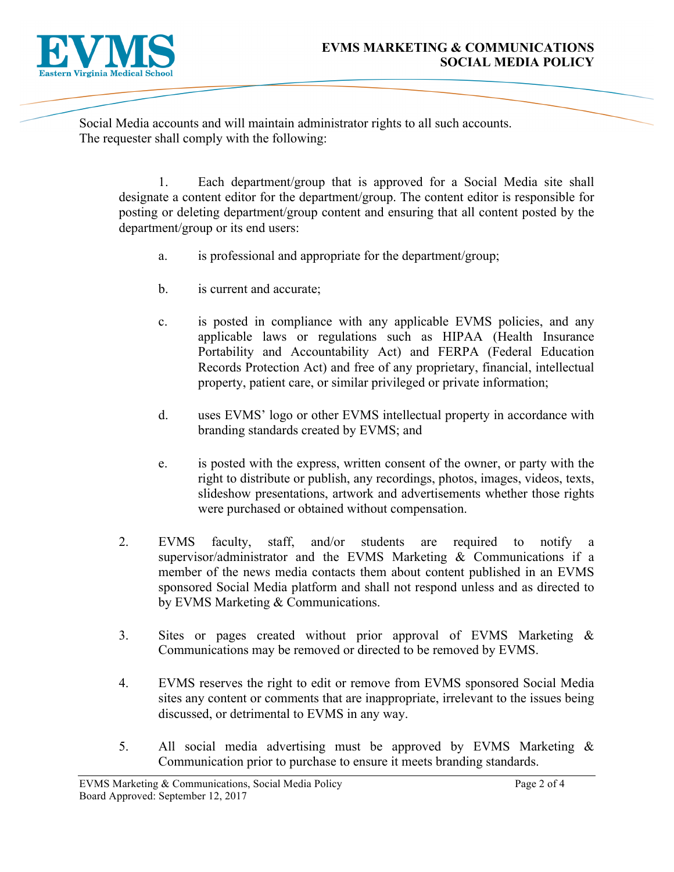

Social Media accounts and will maintain administrator rights to all such accounts. The requester shall comply with the following:

1. Each department/group that is approved for a Social Media site shall designate a content editor for the department/group. The content editor is responsible for posting or deleting department/group content and ensuring that all content posted by the department/group or its end users:

- a. is professional and appropriate for the department/group;
- b. is current and accurate;
- c. is posted in compliance with any applicable EVMS policies, and any applicable laws or regulations such as HIPAA (Health Insurance Portability and Accountability Act) and FERPA (Federal Education Records Protection Act) and free of any proprietary, financial, intellectual property, patient care, or similar privileged or private information;
- d. uses EVMS' logo or other EVMS intellectual property in accordance with branding standards created by EVMS; and
- e. is posted with the express, written consent of the owner, or party with the right to distribute or publish, any recordings, photos, images, videos, texts, slideshow presentations, artwork and advertisements whether those rights were purchased or obtained without compensation.
- 2. EVMS faculty, staff, and/or students are required to notify a supervisor/administrator and the EVMS Marketing & Communications if a member of the news media contacts them about content published in an EVMS sponsored Social Media platform and shall not respond unless and as directed to by EVMS Marketing & Communications.
- 3. Sites or pages created without prior approval of EVMS Marketing & Communications may be removed or directed to be removed by EVMS.
- 4. EVMS reserves the right to edit or remove from EVMS sponsored Social Media sites any content or comments that are inappropriate, irrelevant to the issues being discussed, or detrimental to EVMS in any way.
- 5. All social media advertising must be approved by EVMS Marketing & Communication prior to purchase to ensure it meets branding standards.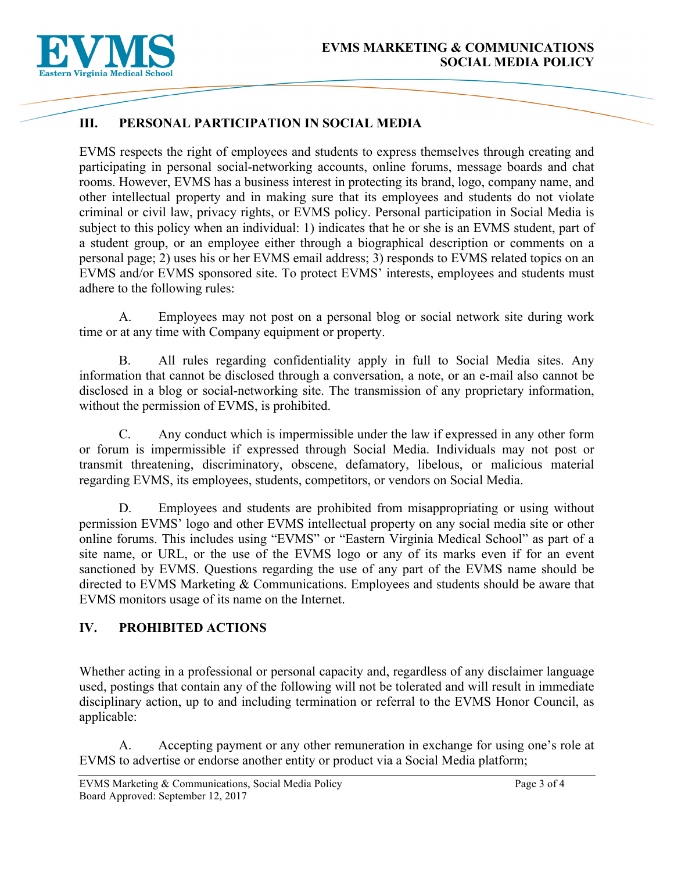

## **III. PERSONAL PARTICIPATION IN SOCIAL MEDIA**

EVMS respects the right of employees and students to express themselves through creating and participating in personal social-networking accounts, online forums, message boards and chat rooms. However, EVMS has a business interest in protecting its brand, logo, company name, and other intellectual property and in making sure that its employees and students do not violate criminal or civil law, privacy rights, or EVMS policy. Personal participation in Social Media is subject to this policy when an individual: 1) indicates that he or she is an EVMS student, part of a student group, or an employee either through a biographical description or comments on a personal page; 2) uses his or her EVMS email address; 3) responds to EVMS related topics on an EVMS and/or EVMS sponsored site. To protect EVMS' interests, employees and students must adhere to the following rules:

A. Employees may not post on a personal blog or social network site during work time or at any time with Company equipment or property.

B. All rules regarding confidentiality apply in full to Social Media sites. Any information that cannot be disclosed through a conversation, a note, or an e-mail also cannot be disclosed in a blog or social-networking site. The transmission of any proprietary information, without the permission of EVMS, is prohibited.

C. Any conduct which is impermissible under the law if expressed in any other form or forum is impermissible if expressed through Social Media. Individuals may not post or transmit threatening, discriminatory, obscene, defamatory, libelous, or malicious material regarding EVMS, its employees, students, competitors, or vendors on Social Media.

D. Employees and students are prohibited from misappropriating or using without permission EVMS' logo and other EVMS intellectual property on any social media site or other online forums. This includes using "EVMS" or "Eastern Virginia Medical School" as part of a site name, or URL, or the use of the EVMS logo or any of its marks even if for an event sanctioned by EVMS. Questions regarding the use of any part of the EVMS name should be directed to EVMS Marketing & Communications. Employees and students should be aware that EVMS monitors usage of its name on the Internet.

## **IV. PROHIBITED ACTIONS**

Whether acting in a professional or personal capacity and, regardless of any disclaimer language used, postings that contain any of the following will not be tolerated and will result in immediate disciplinary action, up to and including termination or referral to the EVMS Honor Council, as applicable:

A. Accepting payment or any other remuneration in exchange for using one's role at EVMS to advertise or endorse another entity or product via a Social Media platform;